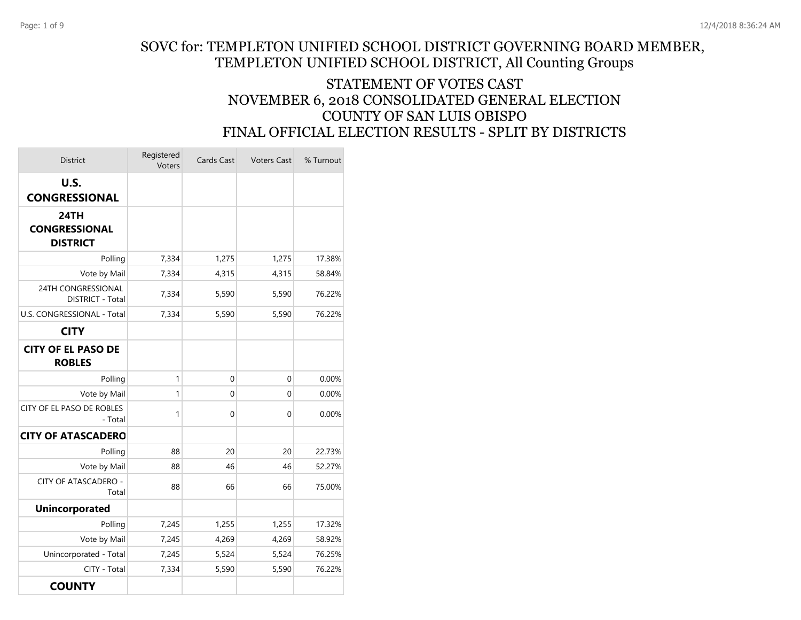## SOVC for: TEMPLETON UNIFIED SCHOOL DISTRICT GOVERNING BOARD MEMBER, TEMPLETON UNIFIED SCHOOL DISTRICT, All Counting Groups

## STATEMENT OF VOTES CAST NOVEMBER 6, 2018 CONSOLIDATED GENERAL ELECTION COUNTY OF SAN LUIS OBISPO FINAL OFFICIAL ELECTION RESULTS - SPLIT BY DISTRICTS

| <b>District</b>                                 | Registered<br>Voters | Cards Cast  | <b>Voters Cast</b> | % Turnout |
|-------------------------------------------------|----------------------|-------------|--------------------|-----------|
| U.S.<br><b>CONGRESSIONAL</b>                    |                      |             |                    |           |
| 24TH<br><b>CONGRESSIONAL</b><br><b>DISTRICT</b> |                      |             |                    |           |
| Polling                                         | 7,334                | 1,275       | 1,275              | 17.38%    |
| Vote by Mail                                    | 7,334                | 4,315       | 4,315              | 58.84%    |
| 24TH CONGRESSIONAL<br><b>DISTRICT - Total</b>   | 7,334                | 5,590       | 5,590              | 76.22%    |
| U.S. CONGRESSIONAL - Total                      | 7,334                | 5,590       | 5,590              | 76.22%    |
| <b>CITY</b>                                     |                      |             |                    |           |
| <b>CITY OF EL PASO DE</b><br><b>ROBLES</b>      |                      |             |                    |           |
| Polling                                         | 1                    | 0           | 0                  | 0.00%     |
| Vote by Mail                                    | 1                    | 0           | 0                  | 0.00%     |
| CITY OF EL PASO DE ROBLES<br>- Total            | 1                    | $\mathbf 0$ | 0                  | 0.00%     |
| <b>CITY OF ATASCADERO</b>                       |                      |             |                    |           |
| Polling                                         | 88                   | 20          | 20                 | 22.73%    |
| Vote by Mail                                    | 88                   | 46          | 46                 | 52.27%    |
| <b>CITY OF ATASCADERO -</b><br>Total            | 88                   | 66          | 66                 | 75.00%    |
| <b>Unincorporated</b>                           |                      |             |                    |           |
| Polling                                         | 7,245                | 1,255       | 1,255              | 17.32%    |
| Vote by Mail                                    | 7,245                | 4,269       | 4,269              | 58.92%    |
| Unincorporated - Total                          | 7,245                | 5,524       | 5,524              | 76.25%    |
| CITY - Total                                    | 7,334                | 5,590       | 5,590              | 76.22%    |
| <b>COUNTY</b>                                   |                      |             |                    |           |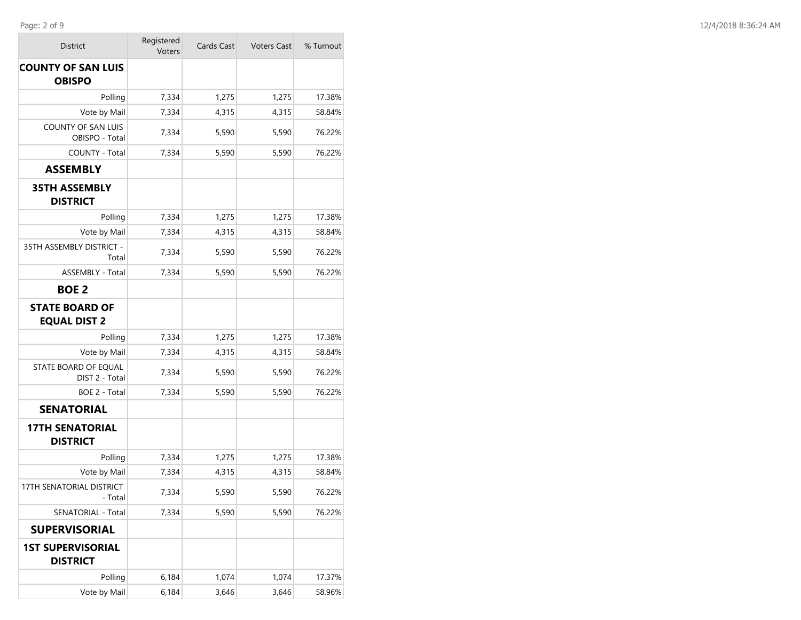**COL** 

| District                                     | Registered<br>Voters | Cards Cast | <b>Voters Cast</b> | % Turnout |
|----------------------------------------------|----------------------|------------|--------------------|-----------|
| <b>COUNTY OF SAN LUIS</b><br><b>OBISPO</b>   |                      |            |                    |           |
| Polling                                      | 7,334                | 1,275      | 1,275              | 17.38%    |
| Vote by Mail                                 | 7,334                | 4,315      | 4,315              | 58.84%    |
| <b>COUNTY OF SAN LUIS</b><br>OBISPO - Total  | 7,334                | 5,590      | 5,590              | 76.22%    |
| COUNTY - Total                               | 7,334                | 5,590      | 5,590              | 76.22%    |
| <b>ASSEMBLY</b>                              |                      |            |                    |           |
| <b>35TH ASSEMBLY</b><br><b>DISTRICT</b>      |                      |            |                    |           |
| Polling                                      | 7,334                | 1,275      | 1,275              | 17.38%    |
| Vote by Mail                                 | 7,334                | 4,315      | 4,315              | 58.84%    |
| 35TH ASSEMBLY DISTRICT -<br>Total            | 7,334                | 5,590      | 5,590              | 76.22%    |
| <b>ASSEMBLY - Total</b>                      | 7,334                | 5,590      | 5,590              | 76.22%    |
| <b>BOE 2</b>                                 |                      |            |                    |           |
| <b>STATE BOARD OF</b><br><b>EQUAL DIST 2</b> |                      |            |                    |           |
| Polling                                      | 7,334                | 1,275      | 1,275              | 17.38%    |
| Vote by Mail                                 | 7,334                | 4,315      | 4,315              | 58.84%    |
| STATE BOARD OF EQUAL<br>DIST 2 - Total       | 7,334                | 5,590      | 5,590              | 76.22%    |
| BOE 2 - Total                                | 7,334                | 5,590      | 5,590              | 76.22%    |
| <b>SENATORIAL</b>                            |                      |            |                    |           |
| <b>17TH SENATORIAL</b><br><b>DISTRICT</b>    |                      |            |                    |           |
| Polling                                      | 7,334                | 1,275      | 1,275              | 17.38%    |
| Vote by Mail                                 | 7,334                | 4,315      | 4,315              | 58.84%    |
| 17TH SENATORIAL DISTRICT<br>- Total          | 7,334                | 5,590      | 5,590              | 76.22%    |
| SENATORIAL - Total                           | 7,334                | 5,590      | 5,590              | 76.22%    |
| <b>SUPERVISORIAL</b>                         |                      |            |                    |           |
| <b>1ST SUPERVISORIAL</b><br><b>DISTRICT</b>  |                      |            |                    |           |
| Polling                                      | 6,184                | 1,074      | 1,074              | 17.37%    |
| Vote by Mail                                 | 6,184                | 3,646      | 3,646              | 58.96%    |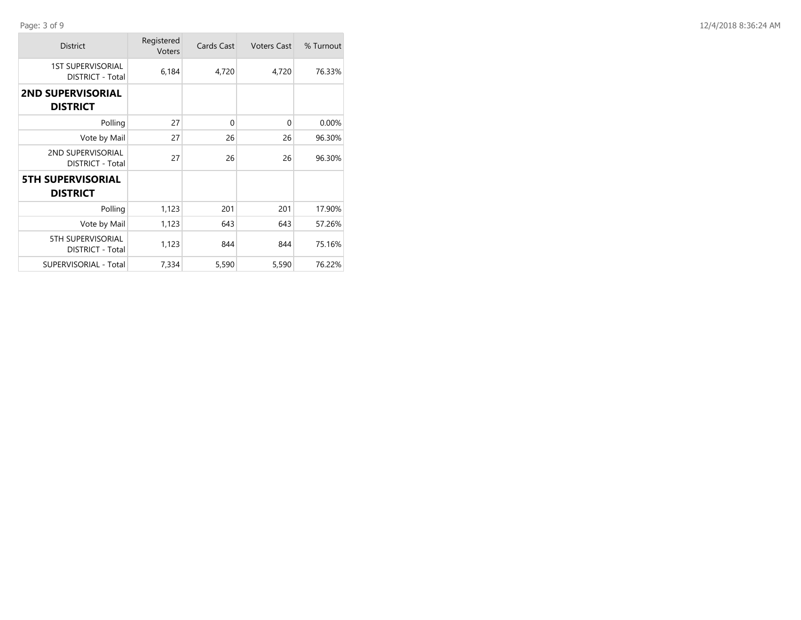| <b>District</b>                                     | Registered<br>Voters | Cards Cast  | <b>Voters Cast</b> | % Turnout |
|-----------------------------------------------------|----------------------|-------------|--------------------|-----------|
| <b>1ST SUPERVISORIAL</b><br><b>DISTRICT - Total</b> | 6,184                | 4,720       | 4,720              | 76.33%    |
| <b>2ND SUPERVISORIAL</b><br><b>DISTRICT</b>         |                      |             |                    |           |
| Polling                                             | 27                   | $\mathbf 0$ | $\mathbf{0}$       | 0.00%     |
| Vote by Mail                                        | 27                   | 26          | 26                 | 96.30%    |
| 2ND SUPERVISORIAL<br><b>DISTRICT - Total</b>        | 27                   | 26          | 26                 | 96.30%    |
| <b>5TH SUPERVISORIAL</b><br><b>DISTRICT</b>         |                      |             |                    |           |
| Polling                                             | 1,123                | 201         | 201                | 17.90%    |
| Vote by Mail                                        | 1,123                | 643         | 643                | 57.26%    |
| <b>5TH SUPERVISORIAL</b><br>DISTRICT - Total        | 1,123                | 844         | 844                | 75.16%    |
| <b>SUPERVISORIAL - Total</b>                        | 7,334                | 5,590       | 5,590              | 76.22%    |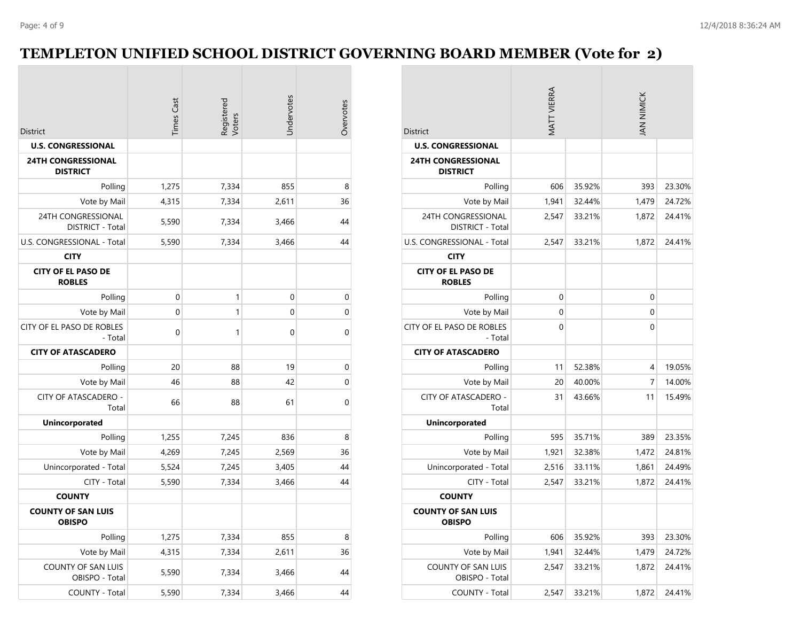## **TEMPLETON UNIFIED SCHOOL DISTRICT GOVERNING BOARD MEMBER (Vote for 2)**

|                                              | <b>Times Cast</b> | Registered<br>Voters | Undervotes  | Overvotes      |
|----------------------------------------------|-------------------|----------------------|-------------|----------------|
| <b>District</b>                              |                   |                      |             |                |
| <b>U.S. CONGRESSIONAL</b>                    |                   |                      |             |                |
| <b>24TH CONGRESSIONAL</b><br><b>DISTRICT</b> |                   |                      |             |                |
| Polling                                      | 1,275             | 7,334                | 855         | 8              |
| Vote by Mail                                 | 4,315             | 7,334                | 2,611       | 36             |
| 24TH CONGRESSIONAL<br>DISTRICT - Total       | 5,590             | 7,334                | 3,466       | 44             |
| U.S. CONGRESSIONAL - Total                   | 5,590             | 7,334                | 3,466       | 44             |
| <b>CITY</b>                                  |                   |                      |             |                |
| <b>CITY OF EL PASO DE</b><br><b>ROBLES</b>   |                   |                      |             |                |
| Polling                                      | 0                 | 1                    | $\mathbf 0$ | $\mathbf 0$    |
| Vote by Mail                                 | 0                 | 1                    | $\mathbf 0$ | $\mathbf 0$    |
| CITY OF EL PASO DE ROBLES<br>- Total         | 0                 | 1                    | $\mathbf 0$ | 0              |
| <b>CITY OF ATASCADERO</b>                    |                   |                      |             |                |
| Polling                                      | 20                | 88                   | 19          | $\overline{0}$ |
| Vote by Mail                                 | 46                | 88                   | 42          | $\overline{0}$ |
| CITY OF ATASCADERO -<br>Total                | 66                | 88                   | 61          | 0              |
| <b>Unincorporated</b>                        |                   |                      |             |                |
| Polling                                      | 1,255             | 7,245                | 836         | 8              |
| Vote by Mail                                 | 4,269             | 7,245                | 2,569       | 36             |
| Unincorporated - Total                       | 5,524             | 7,245                | 3,405       | 44             |
| CITY - Total                                 | 5,590             | 7,334                | 3,466       | 44             |
| <b>COUNTY</b>                                |                   |                      |             |                |
| <b>COUNTY OF SAN LUIS</b><br><b>OBISPO</b>   |                   |                      |             |                |
| Polling                                      | 1,275             | 7,334                | 855         | 8              |
| Vote by Mail                                 | 4,315             | 7,334                | 2,611       | 36             |
| COUNTY OF SAN LUIS<br>OBISPO - Total         | 5,590             | 7,334                | 3,466       | 44             |
| COUNTY - Total                               | 5,590             | 7,334                | 3,466       | 44             |

| District                                     | MATT VIERRA |        | IAN NIMICK  |        |  |
|----------------------------------------------|-------------|--------|-------------|--------|--|
| <b>U.S. CONGRESSIONAL</b>                    |             |        |             |        |  |
| <b>24TH CONGRESSIONAL</b><br><b>DISTRICT</b> |             |        |             |        |  |
| Polling                                      | 606         | 35.92% | 393         | 23.30% |  |
| Vote by Mail                                 | 1,941       | 32.44% | 1,479       | 24.72% |  |
| 24TH CONGRESSIONAL<br>DISTRICT - Total       | 2,547       | 33.21% | 1,872       | 24.41% |  |
| U.S. CONGRESSIONAL - Total                   | 2,547       | 33.21% | 1,872       | 24.41% |  |
| <b>CITY</b>                                  |             |        |             |        |  |
| <b>CITY OF EL PASO DE</b><br><b>ROBLES</b>   |             |        |             |        |  |
| Polling                                      | $\mathbf 0$ |        | 0           |        |  |
| Vote by Mail                                 | 0           |        | $\mathbf 0$ |        |  |
| CITY OF EL PASO DE ROBLES<br>- Total         | $\mathbf 0$ |        | $\mathbf 0$ |        |  |
| <b>CITY OF ATASCADERO</b>                    |             |        |             |        |  |
| Polling                                      | 11          | 52.38% | 4           | 19.05% |  |
| Vote by Mail                                 | 20          | 40.00% | 7           | 14.00% |  |
| CITY OF ATASCADERO -<br>Total                | 31          | 43.66% | 11          | 15.49% |  |
| <b>Unincorporated</b>                        |             |        |             |        |  |
| Polling                                      | 595         | 35.71% | 389         | 23.35% |  |
| Vote by Mail                                 | 1,921       | 32.38% | 1,472       | 24.81% |  |
| Unincorporated - Total                       | 2,516       | 33.11% | 1,861       | 24.49% |  |
| CITY - Total                                 | 2,547       | 33.21% | 1,872       | 24.41% |  |
| <b>COUNTY</b>                                |             |        |             |        |  |
| <b>COUNTY OF SAN LUIS</b><br><b>OBISPO</b>   |             |        |             |        |  |
| Polling                                      | 606         | 35.92% | 393         | 23.30% |  |
| Vote by Mail                                 | 1,941       | 32.44% | 1,479       | 24.72% |  |
| <b>COUNTY OF SAN LUIS</b><br>OBISPO - Total  | 2,547       | 33.21% | 1,872       | 24.41% |  |
| <b>COUNTY - Total</b>                        | 2,547       | 33.21% | 1,872       | 24.41% |  |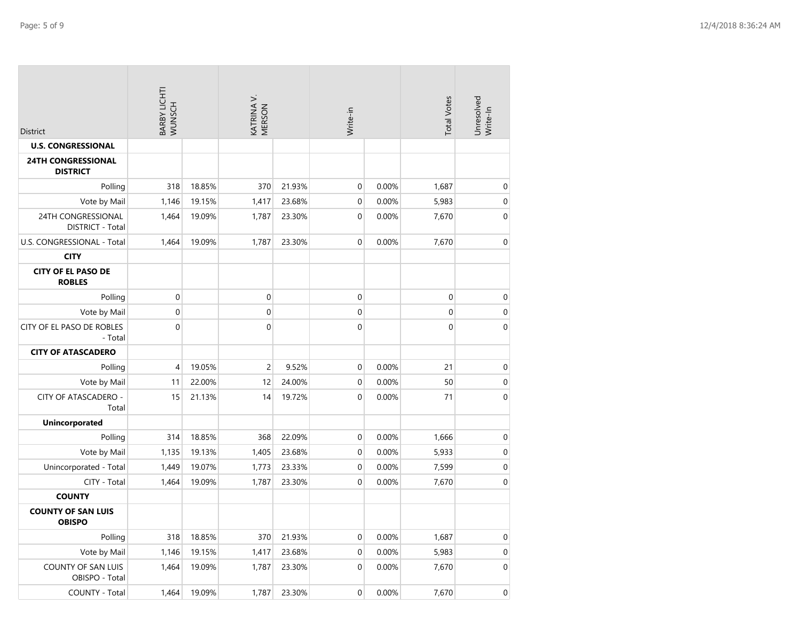| <b>District</b>                               | BARBY LICHTI<br>WUNSCH |        | KATRINA V.<br>MERSON |        | Write-in       |       | <b>Total Votes</b> | Unresolved<br>Write-In |
|-----------------------------------------------|------------------------|--------|----------------------|--------|----------------|-------|--------------------|------------------------|
| <b>U.S. CONGRESSIONAL</b>                     |                        |        |                      |        |                |       |                    |                        |
| <b>24TH CONGRESSIONAL</b><br><b>DISTRICT</b>  |                        |        |                      |        |                |       |                    |                        |
| Polling                                       | 318                    | 18.85% | 370                  | 21.93% | $\mathbf 0$    | 0.00% | 1,687              | $\boldsymbol{0}$       |
| Vote by Mail                                  | 1,146                  | 19.15% | 1,417                | 23.68% | $\mathbf 0$    | 0.00% | 5,983              | $\boldsymbol{0}$       |
| 24TH CONGRESSIONAL<br><b>DISTRICT - Total</b> | 1,464                  | 19.09% | 1,787                | 23.30% | $\mathbf 0$    | 0.00% | 7,670              | $\mathbf 0$            |
| U.S. CONGRESSIONAL - Total                    | 1,464                  | 19.09% | 1,787                | 23.30% | $\mathbf{0}$   | 0.00% | 7,670              | $\pmb{0}$              |
| <b>CITY</b>                                   |                        |        |                      |        |                |       |                    |                        |
| <b>CITY OF EL PASO DE</b><br><b>ROBLES</b>    |                        |        |                      |        |                |       |                    |                        |
| Polling                                       | $\boldsymbol{0}$       |        | $\mathbf 0$          |        | $\mathbf 0$    |       | 0                  | $\pmb{0}$              |
| Vote by Mail                                  | $\boldsymbol{0}$       |        | $\mathbf 0$          |        | $\mathbf 0$    |       | 0                  | $\boldsymbol{0}$       |
| CITY OF EL PASO DE ROBLES<br>- Total          | $\pmb{0}$              |        | $\mathbf 0$          |        | $\mathbf 0$    |       | 0                  | $\pmb{0}$              |
| <b>CITY OF ATASCADERO</b>                     |                        |        |                      |        |                |       |                    |                        |
| Polling                                       | 4                      | 19.05% | 2                    | 9.52%  | 0              | 0.00% | 21                 | $\boldsymbol{0}$       |
| Vote by Mail                                  | 11                     | 22.00% | 12                   | 24.00% | $\mathbf 0$    | 0.00% | 50                 | $\boldsymbol{0}$       |
| CITY OF ATASCADERO -<br>Total                 | 15                     | 21.13% | 14                   | 19.72% | $\overline{0}$ | 0.00% | 71                 | $\mathbf{0}$           |
| <b>Unincorporated</b>                         |                        |        |                      |        |                |       |                    |                        |
| Polling                                       | 314                    | 18.85% | 368                  | 22.09% | $\mathbf 0$    | 0.00% | 1,666              | $\pmb{0}$              |
| Vote by Mail                                  | 1,135                  | 19.13% | 1,405                | 23.68% | $\mathbf 0$    | 0.00% | 5,933              | $\boldsymbol{0}$       |
| Unincorporated - Total                        | 1,449                  | 19.07% | 1,773                | 23.33% | $\mathbf 0$    | 0.00% | 7,599              | $\boldsymbol{0}$       |
| CITY - Total                                  | 1,464                  | 19.09% | 1,787                | 23.30% | $\mathbf{0}$   | 0.00% | 7,670              | $\mathbf 0$            |
| <b>COUNTY</b>                                 |                        |        |                      |        |                |       |                    |                        |
| <b>COUNTY OF SAN LUIS</b><br><b>OBISPO</b>    |                        |        |                      |        |                |       |                    |                        |
| Polling                                       | 318                    | 18.85% | 370                  | 21.93% | $\mathbf 0$    | 0.00% | 1,687              | 0                      |
| Vote by Mail                                  | 1,146                  | 19.15% | 1,417                | 23.68% | 0              | 0.00% | 5,983              | $\pmb{0}$              |
| COUNTY OF SAN LUIS<br>OBISPO - Total          | 1,464                  | 19.09% | 1,787                | 23.30% | $\mathbf 0$    | 0.00% | 7,670              | $\mathbf 0$            |
| COUNTY - Total                                | 1,464                  | 19.09% | 1,787                | 23.30% | $\pmb{0}$      | 0.00% | 7,670              | $\boldsymbol{0}$       |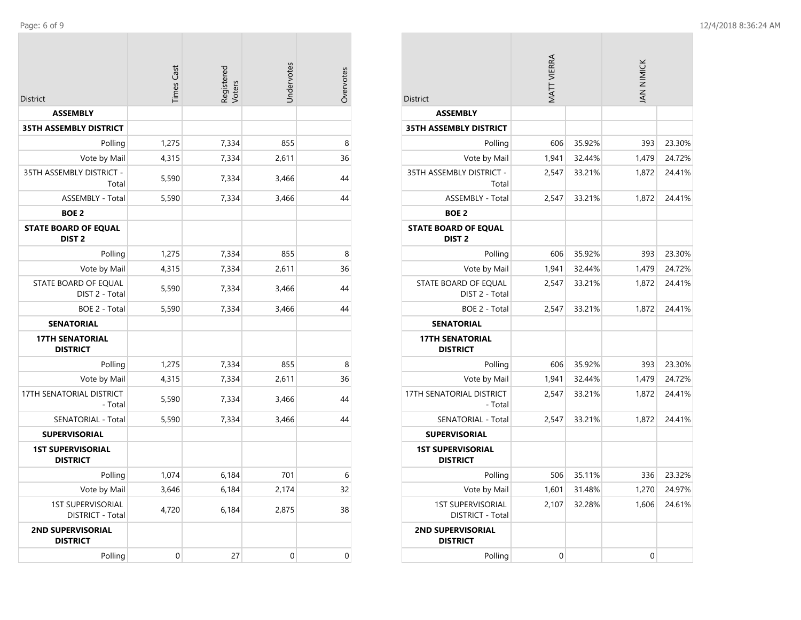$\mathcal{L}^{\text{max}}$ 

| <b>District</b>                                  | <b>Times Cast</b> | Registered<br>Voters | Undervotes  | Overvotes |
|--------------------------------------------------|-------------------|----------------------|-------------|-----------|
| <b>ASSEMBLY</b>                                  |                   |                      |             |           |
| <b>35TH ASSEMBLY DISTRICT</b>                    |                   |                      |             |           |
| Polling                                          | 1,275             | 7,334                | 855         | 8         |
| Vote by Mail                                     | 4,315             | 7,334                | 2,611       | 36        |
| 35TH ASSEMBLY DISTRICT -<br>Total                | 5,590             | 7,334                | 3,466       | 44        |
| <b>ASSEMBLY - Total</b>                          | 5,590             | 7,334                | 3,466       | 44        |
| <b>BOE 2</b>                                     |                   |                      |             |           |
| <b>STATE BOARD OF EQUAL</b><br>DIST <sub>2</sub> |                   |                      |             |           |
| Polling                                          | 1,275             | 7,334                | 855         | 8         |
| Vote by Mail                                     | 4,315             | 7,334                | 2,611       | 36        |
| STATE BOARD OF EQUAL<br>DIST 2 - Total           | 5,590             | 7,334                | 3,466       | 44        |
| BOE 2 - Total                                    | 5,590             | 7,334                | 3,466       | 44        |
| <b>SENATORIAL</b>                                |                   |                      |             |           |
| <b>17TH SENATORIAL</b><br><b>DISTRICT</b>        |                   |                      |             |           |
| Polling                                          | 1,275             | 7,334                | 855         | 8         |
| Vote by Mail                                     | 4,315             | 7,334                | 2,611       | 36        |
| 17TH SENATORIAL DISTRICT<br>- Total              | 5,590             | 7,334                | 3,466       | 44        |
| SENATORIAL - Total                               | 5,590             | 7,334                | 3,466       | 44        |
| <b>SUPERVISORIAL</b>                             |                   |                      |             |           |
| <b>1ST SUPERVISORIAL</b><br><b>DISTRICT</b>      |                   |                      |             |           |
| Polling                                          | 1,074             | 6,184                | 701         | 6         |
| Vote by Mail                                     | 3,646             | 6,184                | 2,174       | 32        |
| <b>1ST SUPERVISORIAL</b><br>DISTRICT - Total     | 4,720             | 6,184                | 2,875       | 38        |
| <b>2ND SUPERVISORIAL</b><br><b>DISTRICT</b>      |                   |                      |             |           |
| Polling                                          | 0                 | 27                   | $\mathbf 0$ | 0         |

| <b>District</b>                                  | MATT VIERRA |        | IAN NIMICK  |        |
|--------------------------------------------------|-------------|--------|-------------|--------|
| <b>ASSEMBLY</b>                                  |             |        |             |        |
| <b>35TH ASSEMBLY DISTRICT</b>                    |             |        |             |        |
| Polling                                          | 606         | 35.92% | 393         | 23.30% |
| Vote by Mail                                     | 1,941       | 32.44% | 1,479       | 24.72% |
| 35TH ASSEMBLY DISTRICT -<br>Total                | 2,547       | 33.21% | 1,872       | 24.41% |
| <b>ASSEMBLY - Total</b>                          | 2,547       | 33.21% | 1,872       | 24.41% |
| <b>BOE 2</b>                                     |             |        |             |        |
| <b>STATE BOARD OF EQUAL</b><br>DIST <sub>2</sub> |             |        |             |        |
| Polling                                          | 606         | 35.92% | 393         | 23.30% |
| Vote by Mail                                     | 1,941       | 32.44% | 1,479       | 24.72% |
| STATE BOARD OF EQUAL<br>DIST 2 - Total           | 2,547       | 33.21% | 1,872       | 24.41% |
| BOE 2 - Total                                    | 2,547       | 33.21% | 1,872       | 24.41% |
| <b>SENATORIAL</b>                                |             |        |             |        |
| <b>17TH SENATORIAL</b><br><b>DISTRICT</b>        |             |        |             |        |
| Polling                                          | 606         | 35.92% | 393         | 23.30% |
| Vote by Mail                                     | 1,941       | 32.44% | 1,479       | 24.72% |
| <b>17TH SENATORIAL DISTRICT</b><br>- Total       | 2,547       | 33.21% | 1,872       | 24.41% |
| SENATORIAL - Total                               | 2,547       | 33.21% | 1,872       | 24.41% |
| <b>SUPERVISORIAL</b>                             |             |        |             |        |
| <b>1ST SUPERVISORIAL</b><br><b>DISTRICT</b>      |             |        |             |        |
| Polling                                          | 506         | 35.11% | 336         | 23.32% |
| Vote by Mail                                     | 1,601       | 31.48% | 1,270       | 24.97% |
| <b>1ST SUPERVISORIAL</b><br>DISTRICT - Total     | 2,107       | 32.28% | 1,606       | 24.61% |
| <b>2ND SUPERVISORIAL</b><br><b>DISTRICT</b>      |             |        |             |        |
| Polling                                          | $\mathbf 0$ |        | $\mathbf 0$ |        |

 $\sim$ 

 $\sim$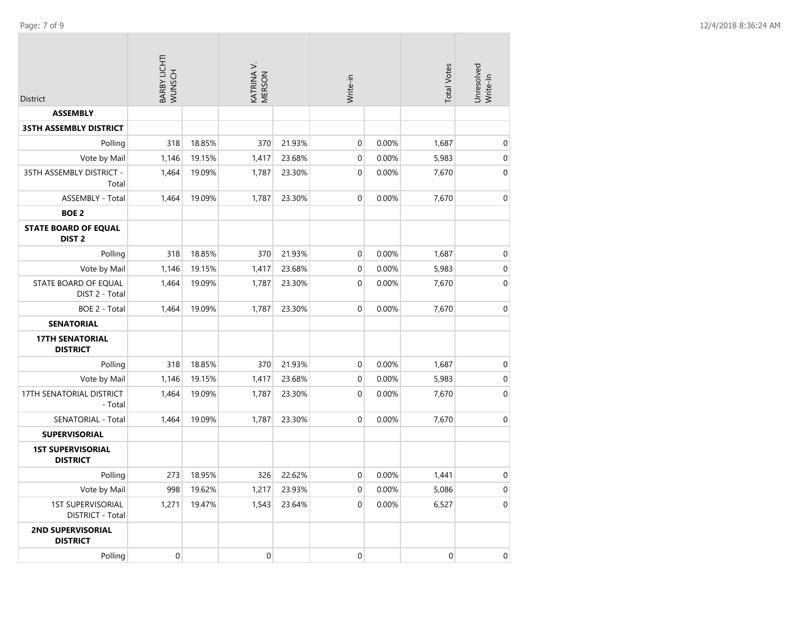$\sim$ 

| <b>District</b>                                  | BARBY LICHTI<br>WUNSCH |        | KATRINA V.<br>MERSON |        | Write-in         |       | <b>Total Votes</b> | Unresolved<br>Write-In |
|--------------------------------------------------|------------------------|--------|----------------------|--------|------------------|-------|--------------------|------------------------|
| <b>ASSEMBLY</b>                                  |                        |        |                      |        |                  |       |                    |                        |
| <b>35TH ASSEMBLY DISTRICT</b>                    |                        |        |                      |        |                  |       |                    |                        |
| Polling                                          | 318                    | 18.85% | 370                  | 21.93% | $\boldsymbol{0}$ | 0.00% | 1,687              | $\mathbf 0$            |
| Vote by Mail                                     | 1,146                  | 19.15% | 1,417                | 23.68% | 0                | 0.00% | 5,983              | $\boldsymbol{0}$       |
| 35TH ASSEMBLY DISTRICT -<br>Total                | 1,464                  | 19.09% | 1,787                | 23.30% | $\mathbf 0$      | 0.00% | 7,670              | $\mathbf 0$            |
| <b>ASSEMBLY - Total</b>                          | 1,464                  | 19.09% | 1,787                | 23.30% | $\mathbf 0$      | 0.00% | 7,670              | $\boldsymbol{0}$       |
| <b>BOE 2</b>                                     |                        |        |                      |        |                  |       |                    |                        |
| <b>STATE BOARD OF EQUAL</b><br>DIST <sub>2</sub> |                        |        |                      |        |                  |       |                    |                        |
| Polling                                          | 318                    | 18.85% | 370                  | 21.93% | 0                | 0.00% | 1,687              | $\boldsymbol{0}$       |
| Vote by Mail                                     | 1,146                  | 19.15% | 1,417                | 23.68% | 0                | 0.00% | 5,983              | $\boldsymbol{0}$       |
| STATE BOARD OF EQUAL<br>DIST 2 - Total           | 1,464                  | 19.09% | 1,787                | 23.30% | $\mathbf 0$      | 0.00% | 7,670              | $\mathbf 0$            |
| BOE 2 - Total                                    | 1,464                  | 19.09% | 1,787                | 23.30% | 0                | 0.00% | 7,670              | $\boldsymbol{0}$       |
| <b>SENATORIAL</b>                                |                        |        |                      |        |                  |       |                    |                        |
| <b>17TH SENATORIAL</b><br><b>DISTRICT</b>        |                        |        |                      |        |                  |       |                    |                        |
| Polling                                          | 318                    | 18.85% | 370                  | 21.93% | $\mathbf 0$      | 0.00% | 1,687              | $\boldsymbol{0}$       |
| Vote by Mail                                     | 1,146                  | 19.15% | 1,417                | 23.68% | 0                | 0.00% | 5,983              | $\pmb{0}$              |
| 17TH SENATORIAL DISTRICT<br>- Total              | 1,464                  | 19.09% | 1,787                | 23.30% | 0                | 0.00% | 7,670              | $\mathbf 0$            |
| SENATORIAL - Total                               | 1,464                  | 19.09% | 1,787                | 23.30% | $\mathbf 0$      | 0.00% | 7,670              | $\mathbf 0$            |
| <b>SUPERVISORIAL</b>                             |                        |        |                      |        |                  |       |                    |                        |
| <b>1ST SUPERVISORIAL</b><br><b>DISTRICT</b>      |                        |        |                      |        |                  |       |                    |                        |
| Polling                                          | 273                    | 18.95% | 326                  | 22.62% | 0                | 0.00% | 1,441              | $\boldsymbol{0}$       |
| Vote by Mail                                     | 998                    | 19.62% | 1,217                | 23.93% | 0                | 0.00% | 5,086              | $\pmb{0}$              |
| <b>1ST SUPERVISORIAL</b><br>DISTRICT - Total     | 1,271                  | 19.47% | 1,543                | 23.64% | $\overline{0}$   | 0.00% | 6,527              | $\boldsymbol{0}$       |
| 2ND SUPERVISORIAL<br><b>DISTRICT</b>             |                        |        |                      |        |                  |       |                    |                        |
| Polling                                          | $\mathbf 0$            |        | $\mathbf 0$          |        | 0                |       | $\mathbf 0$        | $\boldsymbol{0}$       |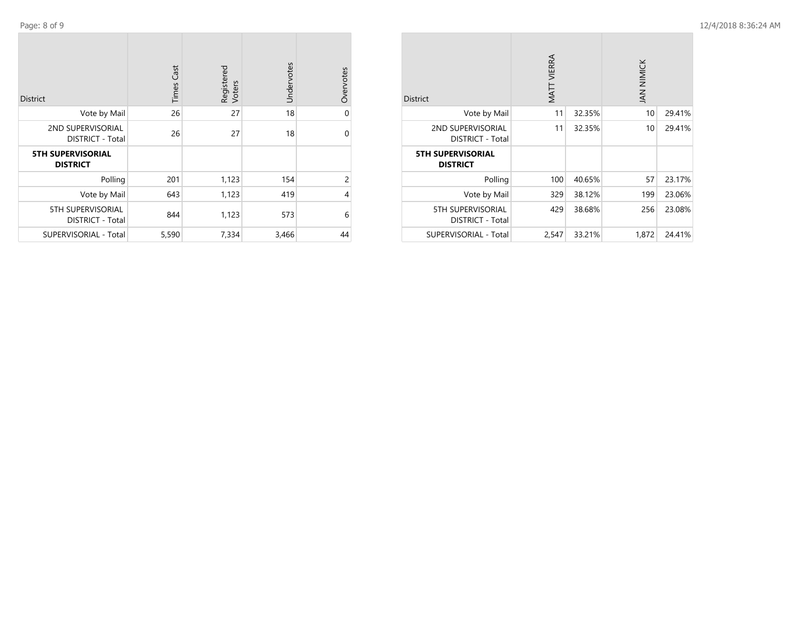Page: 8 of

9 12/4/2018 8:36:24 AM

| <b>District</b>                              | Cast<br>Times | Registered<br>Voters | Undervotes | Overvotes      |
|----------------------------------------------|---------------|----------------------|------------|----------------|
| Vote by Mail                                 | 26            | 27                   | 18         | $\mathbf 0$    |
| 2ND SUPERVISORIAL<br><b>DISTRICT - Total</b> | 26            | 27                   | 18         | $\mathbf 0$    |
| <b>5TH SUPERVISORIAL</b><br><b>DISTRICT</b>  |               |                      |            |                |
| Polling                                      | 201           | 1,123                | 154        | $\overline{c}$ |
| Vote by Mail                                 | 643           | 1,123                | 419        | $\overline{4}$ |
| 5TH SUPERVISORIAL<br><b>DISTRICT - Total</b> | 844           | 1,123                | 573        | 6              |
| SUPERVISORIAL - Total                        | 5,590         | 7,334                | 3,466      | 44             |

| <b>District</b>                              | <b>VIATT VIERRA</b> |        | JAN NIMICK |        |
|----------------------------------------------|---------------------|--------|------------|--------|
| Vote by Mail                                 | 11                  | 32.35% | 10         | 29.41% |
| 2ND SUPERVISORIAL<br><b>DISTRICT - Total</b> | 11                  | 32.35% | 10         | 29.41% |
| <b>5TH SUPERVISORIAL</b><br><b>DISTRICT</b>  |                     |        |            |        |
| Polling                                      | 100                 | 40.65% | 57         | 23.17% |
| Vote by Mail                                 | 329                 | 38.12% | 199        | 23.06% |
| 5TH SUPERVISORIAL<br><b>DISTRICT - Total</b> | 429                 | 38.68% | 256        | 23.08% |
| <b>SUPERVISORIAL - Total</b>                 | 2,547               | 33.21% | 1,872      | 24.41% |